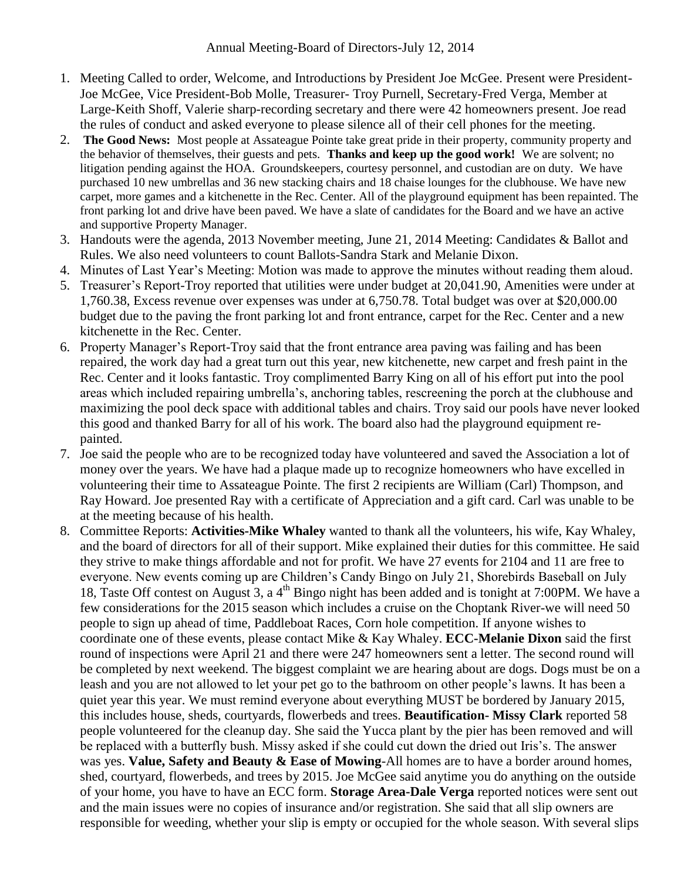- 1. Meeting Called to order, Welcome, and Introductions by President Joe McGee. Present were President-Joe McGee, Vice President-Bob Molle, Treasurer- Troy Purnell, Secretary-Fred Verga, Member at Large-Keith Shoff, Valerie sharp-recording secretary and there were 42 homeowners present. Joe read the rules of conduct and asked everyone to please silence all of their cell phones for the meeting.
- 2. **The Good News:** Most people at Assateague Pointe take great pride in their property, community property and the behavior of themselves, their guests and pets. **Thanks and keep up the good work!** We are solvent; no litigation pending against the HOA. Groundskeepers, courtesy personnel, and custodian are on duty. We have purchased 10 new umbrellas and 36 new stacking chairs and 18 chaise lounges for the clubhouse. We have new carpet, more games and a kitchenette in the Rec. Center. All of the playground equipment has been repainted. The front parking lot and drive have been paved. We have a slate of candidates for the Board and we have an active and supportive Property Manager.
- 3. Handouts were the agenda, 2013 November meeting, June 21, 2014 Meeting: Candidates & Ballot and Rules. We also need volunteers to count Ballots-Sandra Stark and Melanie Dixon.
- 4. Minutes of Last Year's Meeting: Motion was made to approve the minutes without reading them aloud.
- 5. Treasurer's Report-Troy reported that utilities were under budget at 20,041.90, Amenities were under at 1,760.38, Excess revenue over expenses was under at 6,750.78. Total budget was over at \$20,000.00 budget due to the paving the front parking lot and front entrance, carpet for the Rec. Center and a new kitchenette in the Rec. Center.
- 6. Property Manager's Report-Troy said that the front entrance area paving was failing and has been repaired, the work day had a great turn out this year, new kitchenette, new carpet and fresh paint in the Rec. Center and it looks fantastic. Troy complimented Barry King on all of his effort put into the pool areas which included repairing umbrella's, anchoring tables, rescreening the porch at the clubhouse and maximizing the pool deck space with additional tables and chairs. Troy said our pools have never looked this good and thanked Barry for all of his work. The board also had the playground equipment repainted.
- 7. Joe said the people who are to be recognized today have volunteered and saved the Association a lot of money over the years. We have had a plaque made up to recognize homeowners who have excelled in volunteering their time to Assateague Pointe. The first 2 recipients are William (Carl) Thompson, and Ray Howard. Joe presented Ray with a certificate of Appreciation and a gift card. Carl was unable to be at the meeting because of his health.
- 8. Committee Reports: **Activities-Mike Whaley** wanted to thank all the volunteers, his wife, Kay Whaley, and the board of directors for all of their support. Mike explained their duties for this committee. He said they strive to make things affordable and not for profit. We have 27 events for 2104 and 11 are free to everyone. New events coming up are Children's Candy Bingo on July 21, Shorebirds Baseball on July 18, Taste Off contest on August 3, a 4<sup>th</sup> Bingo night has been added and is tonight at 7:00PM. We have a few considerations for the 2015 season which includes a cruise on the Choptank River-we will need 50 people to sign up ahead of time, Paddleboat Races, Corn hole competition. If anyone wishes to coordinate one of these events, please contact Mike & Kay Whaley. **ECC-Melanie Dixon** said the first round of inspections were April 21 and there were 247 homeowners sent a letter. The second round will be completed by next weekend. The biggest complaint we are hearing about are dogs. Dogs must be on a leash and you are not allowed to let your pet go to the bathroom on other people's lawns. It has been a quiet year this year. We must remind everyone about everything MUST be bordered by January 2015, this includes house, sheds, courtyards, flowerbeds and trees. **Beautification- Missy Clark** reported 58 people volunteered for the cleanup day. She said the Yucca plant by the pier has been removed and will be replaced with a butterfly bush. Missy asked if she could cut down the dried out Iris's. The answer was yes. **Value, Safety and Beauty & Ease of Mowing**-All homes are to have a border around homes, shed, courtyard, flowerbeds, and trees by 2015. Joe McGee said anytime you do anything on the outside of your home, you have to have an ECC form. **Storage Area-Dale Verga** reported notices were sent out and the main issues were no copies of insurance and/or registration. She said that all slip owners are responsible for weeding, whether your slip is empty or occupied for the whole season. With several slips